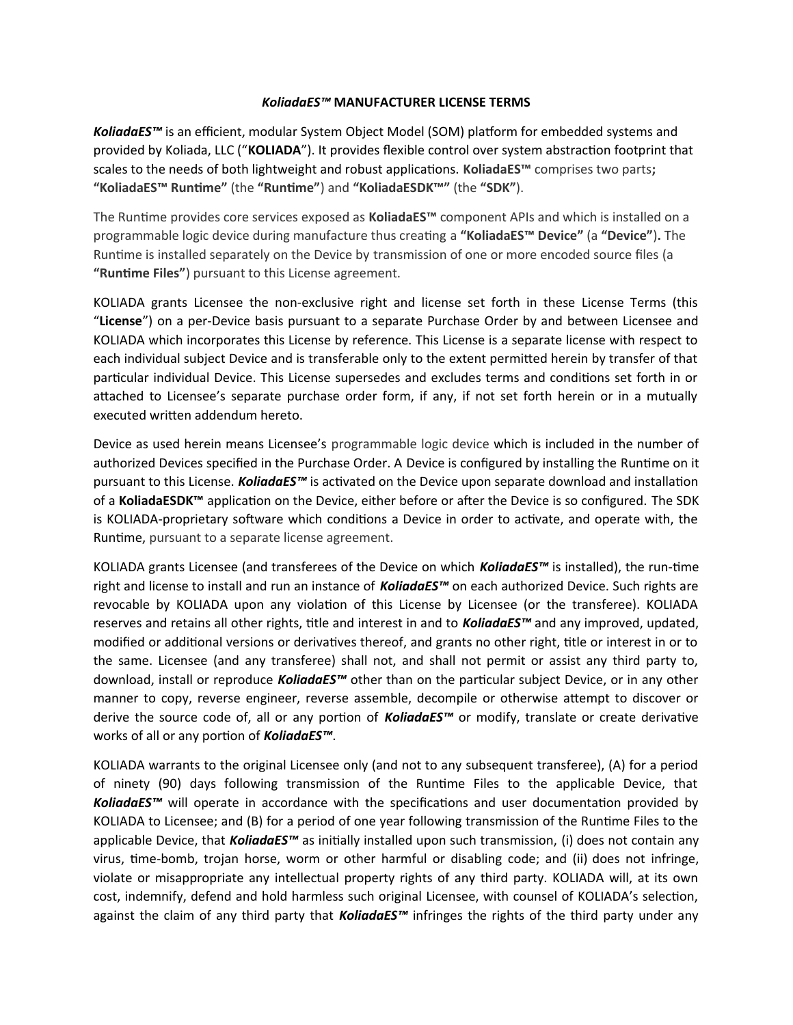## *KoliadaES™* **MANUFACTURER LICENSE TERMS**

KoliadaES<sup>™</sup> is an efficient, modular System Object Model (SOM) platform for embedded systems and provided by Koliada, LLC ("**KOLIADA**"). It provides flexible control over system abstraction footprint that scales to the needs of both lightweight and robust applications. **KoliadaES™** comprises two parts**; "KoliadaES™ Runtime"** (the **"Runtime"**) and **"KoliadaESDK™"** (the **"SDK"**).

The Runtime provides core services exposed as **KoliadaES™** component APIs and which is installed on a programmable logic device during manufacture thus creating a **"KoliadaES™ Device"** (a **"Device"**)**.** The Runtime is installed separately on the Device by transmission of one or more encoded source files (a **"Runtime Files"**) pursuant to this License agreement.

KOLIADA grants Licensee the non-exclusive right and license set forth in these License Terms (this "**License**") on a per-Device basis pursuant to a separate Purchase Order by and between Licensee and KOLIADA which incorporates this License by reference. This License is a separate license with respect to each individual subject Device and is transferable only to the extent permitted herein by transfer of that particular individual Device. This License supersedes and excludes terms and conditions set forth in or attached to Licensee's separate purchase order form, if any, if not set forth herein or in a mutually executed written addendum hereto.

Device as used herein means Licensee's programmable logic device which is included in the number of authorized Devices specified in the Purchase Order. A Device is configured by installing the Runtime on it pursuant to this License. *KoliadaES™* is activated on the Device upon separate download and installation of a **KoliadaESDK™** application on the Device, either before or after the Device is so configured. The SDK is KOLIADA-proprietary software which conditions a Device in order to activate, and operate with, the Runtime, pursuant to a separate license agreement.

KOLIADA grants Licensee (and transferees of the Device on which *KoliadaES™* is installed), the run-time right and license to install and run an instance of *KoliadaES™* on each authorized Device. Such rights are revocable by KOLIADA upon any violation of this License by Licensee (or the transferee). KOLIADA reserves and retains all other rights, title and interest in and to *KoliadaES™* and any improved, updated, modified or additional versions or derivatives thereof, and grants no other right, title or interest in or to the same. Licensee (and any transferee) shall not, and shall not permit or assist any third party to, download, install or reproduce *KoliadaES™* other than on the particular subject Device, or in any other manner to copy, reverse engineer, reverse assemble, decompile or otherwise attempt to discover or derive the source code of, all or any portion of *KoliadaES™* or modify, translate or create derivative works of all or any portion of *KoliadaES™*.

KOLIADA warrants to the original Licensee only (and not to any subsequent transferee), (A) for a period of ninety (90) days following transmission of the Runtime Files to the applicable Device, that KoliadaES<sup>™</sup> will operate in accordance with the specifications and user documentation provided by KOLIADA to Licensee; and (B) for a period of one year following transmission of the Runtime Files to the applicable Device, that *KoliadaES™* as initially installed upon such transmission, (i) does not contain any virus, time-bomb, trojan horse, worm or other harmful or disabling code; and (ii) does not infringe, violate or misappropriate any intellectual property rights of any third party. KOLIADA will, at its own cost, indemnify, defend and hold harmless such original Licensee, with counsel of KOLIADA's selection, against the claim of any third party that *KoliadaES™* infringes the rights of the third party under any